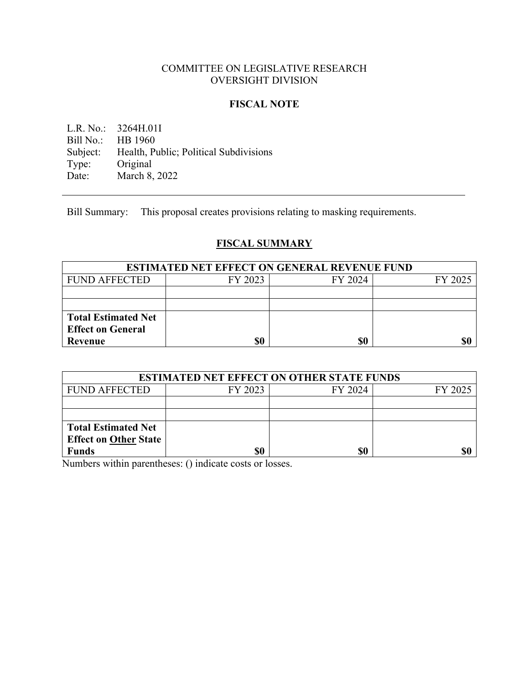# COMMITTEE ON LEGISLATIVE RESEARCH OVERSIGHT DIVISION

## **FISCAL NOTE**

L.R. No.: 3264H.01I<br>Bill No.: HB 1960 HB 1960 Subject: Health, Public; Political Subdivisions<br>Type: Original Type: Original<br>Date: March 8, March 8, 2022

Bill Summary: This proposal creates provisions relating to masking requirements.

# **FISCAL SUMMARY**

| <b>ESTIMATED NET EFFECT ON GENERAL REVENUE FUND</b> |         |         |         |  |
|-----------------------------------------------------|---------|---------|---------|--|
| <b>FUND AFFECTED</b>                                | FY 2023 | FY 2024 | FY 2025 |  |
|                                                     |         |         |         |  |
|                                                     |         |         |         |  |
| <b>Total Estimated Net</b>                          |         |         |         |  |
| <b>Effect on General</b>                            |         |         |         |  |
| Revenue                                             | \$0     | \$0     |         |  |

| <b>ESTIMATED NET EFFECT ON OTHER STATE FUNDS</b> |         |         |         |  |
|--------------------------------------------------|---------|---------|---------|--|
| <b>FUND AFFECTED</b>                             | FY 2023 | FY 2024 | FY 2025 |  |
|                                                  |         |         |         |  |
|                                                  |         |         |         |  |
| <b>Total Estimated Net</b>                       |         |         |         |  |
| <b>Effect on Other State</b>                     |         |         |         |  |
| <b>Funds</b>                                     | \$0     | \$0     |         |  |

Numbers within parentheses: () indicate costs or losses.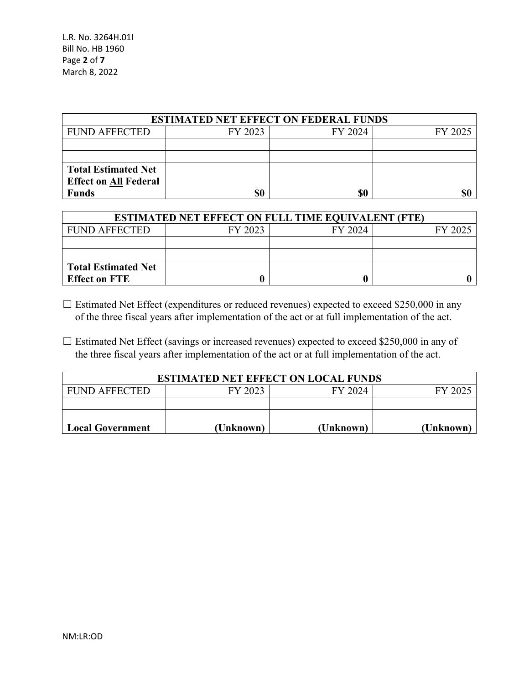| <b>ESTIMATED NET EFFECT ON FEDERAL FUNDS</b> |         |         |         |  |
|----------------------------------------------|---------|---------|---------|--|
| <b>FUND AFFECTED</b>                         | FY 2023 | FY 2024 | FY 2025 |  |
|                                              |         |         |         |  |
|                                              |         |         |         |  |
| <b>Total Estimated Net</b>                   |         |         |         |  |
| <b>Effect on All Federal</b>                 |         |         |         |  |
| <b>Funds</b>                                 | \$0     | \$0     |         |  |

| <b>ESTIMATED NET EFFECT ON FULL TIME EQUIVALENT (FTE)</b> |         |         |         |  |
|-----------------------------------------------------------|---------|---------|---------|--|
| <b>FUND AFFECTED</b>                                      | FY 2023 | FY 2024 | FY 2025 |  |
|                                                           |         |         |         |  |
|                                                           |         |         |         |  |
| <b>Total Estimated Net</b>                                |         |         |         |  |
| <b>Effect on FTE</b>                                      |         |         |         |  |

 $\Box$  Estimated Net Effect (expenditures or reduced revenues) expected to exceed \$250,000 in any of the three fiscal years after implementation of the act or at full implementation of the act.

□ Estimated Net Effect (savings or increased revenues) expected to exceed \$250,000 in any of the three fiscal years after implementation of the act or at full implementation of the act.

| <b>ESTIMATED NET EFFECT ON LOCAL FUNDS</b> |           |           |           |  |
|--------------------------------------------|-----------|-----------|-----------|--|
| <b>FUND AFFECTED</b>                       | FY 2023   | FY 2024   | FY 2025   |  |
|                                            |           |           |           |  |
|                                            |           |           |           |  |
| <b>Local Government</b>                    | (Unknown) | (Unknown) | (Unknown) |  |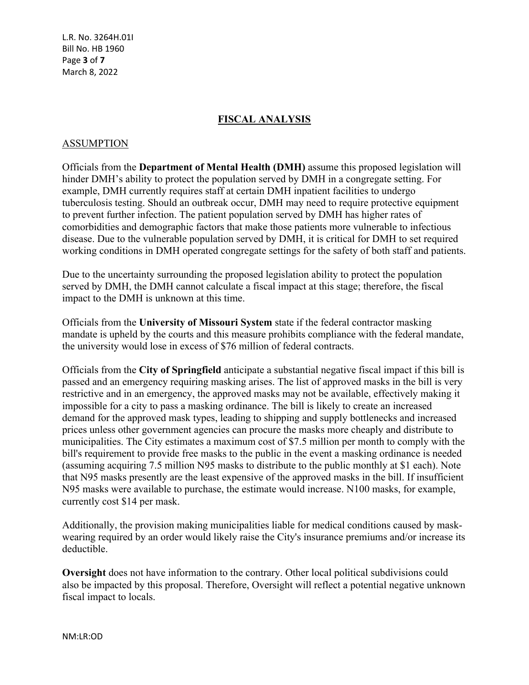L.R. No. 3264H.01I Bill No. HB 1960 Page **3** of **7** March 8, 2022

# **FISCAL ANALYSIS**

## ASSUMPTION

Officials from the **Department of Mental Health (DMH)** assume this proposed legislation will hinder DMH's ability to protect the population served by DMH in a congregate setting. For example, DMH currently requires staff at certain DMH inpatient facilities to undergo tuberculosis testing. Should an outbreak occur, DMH may need to require protective equipment to prevent further infection. The patient population served by DMH has higher rates of comorbidities and demographic factors that make those patients more vulnerable to infectious disease. Due to the vulnerable population served by DMH, it is critical for DMH to set required working conditions in DMH operated congregate settings for the safety of both staff and patients.

Due to the uncertainty surrounding the proposed legislation ability to protect the population served by DMH, the DMH cannot calculate a fiscal impact at this stage; therefore, the fiscal impact to the DMH is unknown at this time.

Officials from the **University of Missouri System** state if the federal contractor masking mandate is upheld by the courts and this measure prohibits compliance with the federal mandate, the university would lose in excess of \$76 million of federal contracts.

Officials from the **City of Springfield** anticipate a substantial negative fiscal impact if this bill is passed and an emergency requiring masking arises. The list of approved masks in the bill is very restrictive and in an emergency, the approved masks may not be available, effectively making it impossible for a city to pass a masking ordinance. The bill is likely to create an increased demand for the approved mask types, leading to shipping and supply bottlenecks and increased prices unless other government agencies can procure the masks more cheaply and distribute to municipalities. The City estimates a maximum cost of \$7.5 million per month to comply with the bill's requirement to provide free masks to the public in the event a masking ordinance is needed (assuming acquiring 7.5 million N95 masks to distribute to the public monthly at \$1 each). Note that N95 masks presently are the least expensive of the approved masks in the bill. If insufficient N95 masks were available to purchase, the estimate would increase. N100 masks, for example, currently cost \$14 per mask.

Additionally, the provision making municipalities liable for medical conditions caused by maskwearing required by an order would likely raise the City's insurance premiums and/or increase its deductible.

**Oversight** does not have information to the contrary. Other local political subdivisions could also be impacted by this proposal. Therefore, Oversight will reflect a potential negative unknown fiscal impact to locals.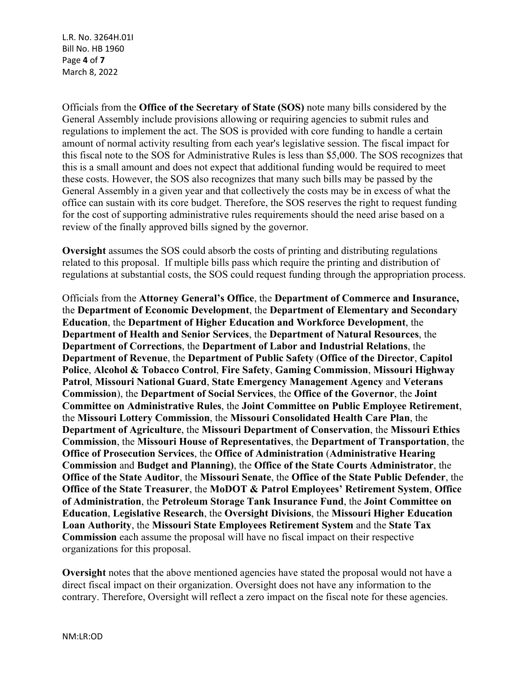L.R. No. 3264H.01I Bill No. HB 1960 Page **4** of **7** March 8, 2022

Officials from the **Office of the Secretary of State (SOS)** note many bills considered by the General Assembly include provisions allowing or requiring agencies to submit rules and regulations to implement the act. The SOS is provided with core funding to handle a certain amount of normal activity resulting from each year's legislative session. The fiscal impact for this fiscal note to the SOS for Administrative Rules is less than \$5,000. The SOS recognizes that this is a small amount and does not expect that additional funding would be required to meet these costs. However, the SOS also recognizes that many such bills may be passed by the General Assembly in a given year and that collectively the costs may be in excess of what the office can sustain with its core budget. Therefore, the SOS reserves the right to request funding for the cost of supporting administrative rules requirements should the need arise based on a review of the finally approved bills signed by the governor.

**Oversight** assumes the SOS could absorb the costs of printing and distributing regulations related to this proposal. If multiple bills pass which require the printing and distribution of regulations at substantial costs, the SOS could request funding through the appropriation process.

Officials from the **Attorney General's Office**, the **Department of Commerce and Insurance,**  the **Department of Economic Development**, the **Department of Elementary and Secondary Education**, the **Department of Higher Education and Workforce Development**, the **Department of Health and Senior Services**, the **Department of Natural Resources**, the **Department of Corrections**, the **Department of Labor and Industrial Relations**, the **Department of Revenue**, the **Department of Public Safety** (**Office of the Director**, **Capitol Police**, **Alcohol & Tobacco Control**, **Fire Safety**, **Gaming Commission**, **Missouri Highway Patrol**, **Missouri National Guard**, **State Emergency Management Agency** and **Veterans Commission**), the **Department of Social Services**, the **Office of the Governor**, the **Joint Committee on Administrative Rules**, the **Joint Committee on Public Employee Retirement**, the **Missouri Lottery Commission**, the **Missouri Consolidated Health Care Plan**, the **Department of Agriculture**, the **Missouri Department of Conservation**, the **Missouri Ethics Commission**, the **Missouri House of Representatives**, the **Department of Transportation**, the **Office of Prosecution Services**, the **Office of Administration** (**Administrative Hearing Commission** and **Budget and Planning)**, the **Office of the State Courts Administrator**, the **Office of the State Auditor**, the **Missouri Senate**, the **Office of the State Public Defender**, the **Office of the State Treasurer**, the **MoDOT & Patrol Employees' Retirement System**, **Office of Administration**, the **Petroleum Storage Tank Insurance Fund**, the **Joint Committee on Education**, **Legislative Research**, the **Oversight Divisions**, the **Missouri Higher Education Loan Authority**, the **Missouri State Employees Retirement System** and the **State Tax Commission** each assume the proposal will have no fiscal impact on their respective organizations for this proposal.

**Oversight** notes that the above mentioned agencies have stated the proposal would not have a direct fiscal impact on their organization. Oversight does not have any information to the contrary. Therefore, Oversight will reflect a zero impact on the fiscal note for these agencies.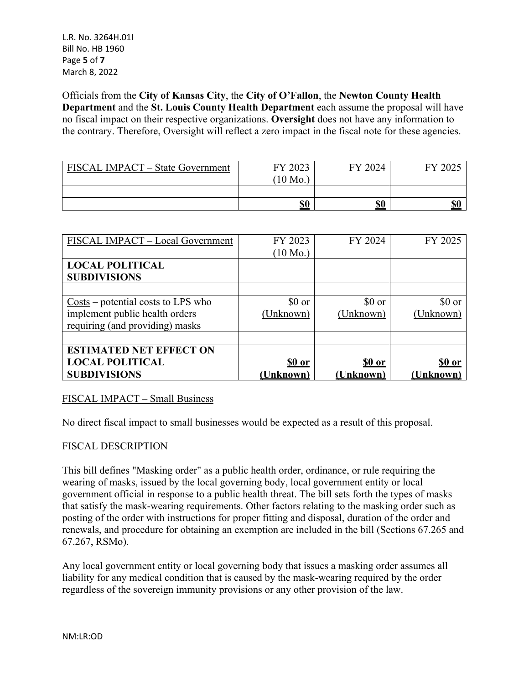L.R. No. 3264H.01I Bill No. HB 1960 Page **5** of **7** March 8, 2022

Officials from the **City of Kansas City**, the **City of O'Fallon**, the **Newton County Health Department** and the **St. Louis County Health Department** each assume the proposal will have no fiscal impact on their respective organizations. **Oversight** does not have any information to the contrary. Therefore, Oversight will reflect a zero impact in the fiscal note for these agencies.

| FISCAL IMPACT – State Government | FY 2023    | FY 2024    | FY 2025    |
|----------------------------------|------------|------------|------------|
|                                  | $10$ Mo.   |            |            |
|                                  |            |            |            |
|                                  | <u>\$0</u> | <b>\$0</b> | <b>\$0</b> |

| FISCAL IMPACT - Local Government                            | FY 2023            | FY 2024       | FY 2025         |
|-------------------------------------------------------------|--------------------|---------------|-----------------|
|                                                             | $(10 \text{ Mo.})$ |               |                 |
| <b>LOCAL POLITICAL</b>                                      |                    |               |                 |
| <b>SUBDIVISIONS</b>                                         |                    |               |                 |
|                                                             |                    |               |                 |
| $\frac{\text{Costs}}{\text{}}$ – potential costs to LPS who | $$0 \text{ or}$    | \$0 or        | $$0 \text{ or}$ |
| implement public health orders                              | (Unknown)          | (Unknown)     | (Unknown)       |
| requiring (and providing) masks                             |                    |               |                 |
|                                                             |                    |               |                 |
| <b>ESTIMATED NET EFFECT ON</b>                              |                    |               |                 |
| <b>LOCAL POLITICAL</b>                                      | <u>\$0 or</u>      | <u>\$0 or</u> | <u>\$0 or</u>   |
| <b>SUBDIVISIONS</b>                                         | (Unknown)          | (Unknown)     | (Unknown)       |

## FISCAL IMPACT – Small Business

No direct fiscal impact to small businesses would be expected as a result of this proposal.

### FISCAL DESCRIPTION

This bill defines "Masking order" as a public health order, ordinance, or rule requiring the wearing of masks, issued by the local governing body, local government entity or local government official in response to a public health threat. The bill sets forth the types of masks that satisfy the mask-wearing requirements. Other factors relating to the masking order such as posting of the order with instructions for proper fitting and disposal, duration of the order and renewals, and procedure for obtaining an exemption are included in the bill (Sections 67.265 and 67.267, RSMo).

Any local government entity or local governing body that issues a masking order assumes all liability for any medical condition that is caused by the mask-wearing required by the order regardless of the sovereign immunity provisions or any other provision of the law.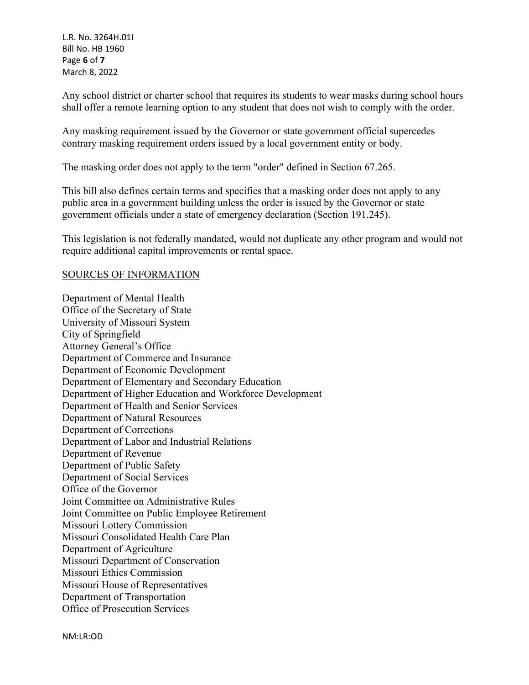L.R. No. 3264H.01I Bill No. HB 1960 Page **6** of **7** March 8, 2022

Any school district or charter school that requires its students to wear masks during school hours shall offer a remote learning option to any student that does not wish to comply with the order.

Any masking requirement issued by the Governor or state government official supercedes contrary masking requirement orders issued by a local government entity or body.

The masking order does not apply to the term "order" defined in Section 67.265.

This bill also defines certain terms and specifies that a masking order does not apply to any public area in a government building unless the order is issued by the Governor or state government officials under a state of emergency declaration (Section 191.245).

This legislation is not federally mandated, would not duplicate any other program and would not require additional capital improvements or rental space.

### SOURCES OF INFORMATION

Department of Mental Health Office of the Secretary of State University of Missouri System City of Springfield Attorney General's Office Department of Commerce and Insurance Department of Economic Development Department of Elementary and Secondary Education Department of Higher Education and Workforce Development Department of Health and Senior Services Department of Natural Resources Department of Corrections Department of Labor and Industrial Relations Department of Revenue Department of Public Safety Department of Social Services Office of the Governor Joint Committee on Administrative Rules Joint Committee on Public Employee Retirement Missouri Lottery Commission Missouri Consolidated Health Care Plan Department of Agriculture Missouri Department of Conservation Missouri Ethics Commission Missouri House of Representatives Department of Transportation Office of Prosecution Services